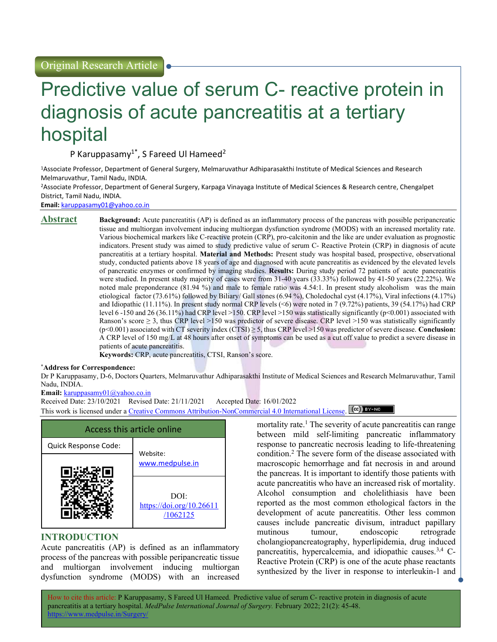# Predictive value of serum C- reactive protein in diagnosis of acute pancreatitis at a tertiary hospital

P Karuppasamy<sup>1\*</sup>, S Fareed Ul Hameed<sup>2</sup>

<sup>1</sup>Associate Professor, Department of General Surgery, Melmaruvathur Adhiparasakthi Institute of Medical Sciences and Research Melmaruvathur, Tamil Nadu, INDIA.

<sup>2</sup>Associate Professor, Department of General Surgery, Karpaga Vinayaga Institute of Medical Sciences & Research centre, Chengalpet District, Tamil Nadu, INDIA.

Email: karuppasamy01@yahoo.co.in

Abstract Background: Acute pancreatitis (AP) is defined as an inflammatory process of the pancreas with possible peripancreatic tissue and multiorgan involvement inducing multiorgan dysfunction syndrome (MODS) with an increased mortality rate. Various biochemical markers like C-reactive protein (CRP), pro-calcitonin and the like are under evaluation as prognostic indicators. Present study was aimed to study predictive value of serum C- Reactive Protein (CRP) in diagnosis of acute pancreatitis at a tertiary hospital. Material and Methods: Present study was hospital based, prospective, observational study, conducted patients above 18 years of age and diagnosed with acute pancreatitis as evidenced by the elevated levels of pancreatic enzymes or confirmed by imaging studies. Results: During study period 72 patients of acute pancreatitis were studied. In present study majority of cases were from 31-40 years (33.33%) followed by 41-50 years (22.22%). We noted male preponderance (81.94 %) and male to female ratio was 4.54:1. In present study alcoholism was the main etiological factor (73.61%) followed by Biliary/ Gall stones (6.94 %), Choledochal cyst (4.17%), Viral infections (4.17%) and Idiopathic (11.11%). In present study normal CRP levels (<6) were noted in 7 (9.72%) patients, 39 (54.17%) had CRP level 6 -150 and 26 (36.11%) had CRP level >150. CRP level >150 was statistically significantly (p<0.001) associated with Ranson's score  $\geq$  3, thus CRP level >150 was predictor of severe disease. CRP level >150 was statistically significantly  $(p<0.001)$  associated with CT severity index  $(CTSI) \ge 5$ , thus CRP level >150 was predictor of severe disease. Conclusion: A CRP level of 150 mg/L at 48 hours after onset of symptoms can be used as a cut off value to predict a severe disease in patients of acute pancreatitis.

Keywords: CRP, acute pancreatitis, CTSI, Ranson's score.

### \*Address for Correspondence:

Dr P Karuppasamy, D-6, Doctors Quarters, Melmaruvathur Adhiparasakthi Institute of Medical Sciences and Research Melmaruvathur, Tamil Nadu, INDIA.

Email: karuppasamy01@yahoo.co.in

Received Date: 23/10/2021 Revised Date: 21/11/2021 Accepted Date: 16/01/2022

This work is licensed under a Creative Commons Attribution-NonCommercial 4.0 International License. (cc) BY-Ne



# INTRODUCTION

Acute pancreatitis (AP) is defined as an inflammatory process of the pancreas with possible peripancreatic tissue and multiorgan involvement inducing multiorgan dysfunction syndrome (MODS) with an increased

mortality rate.<sup>1</sup> The severity of acute pancreatitis can range between mild self-limiting pancreatic inflammatory response to pancreatic necrosis leading to life-threatening condition.<sup>2</sup> The severe form of the disease associated with macroscopic hemorrhage and fat necrosis in and around the pancreas. It is important to identify those patients with acute pancreatitis who have an increased risk of mortality. Alcohol consumption and cholelithiasis have been reported as the most common ethological factors in the development of acute pancreatitis. Other less common causes include pancreatic divisum, intraduct papillary mutinous tumour, endoscopic retrograde cholangiopancreatography, hyperlipidemia, drug induced pancreatitis, hypercalcemia, and idiopathic causes.3,4 C-Reactive Protein (CRP) is one of the acute phase reactants synthesized by the liver in response to interleukin-1 and

How to cite this article: P Karuppasamy, S Fareed Ul Hameed. Predictive value of serum C- reactive protein in diagnosis of acute pancreatitis at a tertiary hospital. MedPulse International Journal of Surgery. February 2022; 21(2): 45-48.  $\frac{1}{\sqrt{2}}$ htms://www.medpulse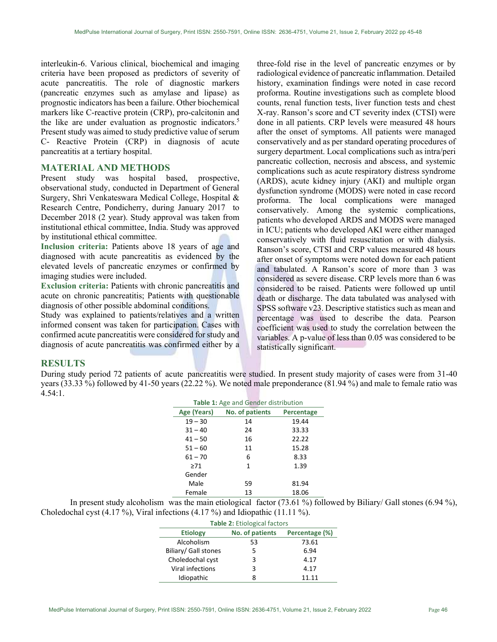interleukin-6. Various clinical, biochemical and imaging criteria have been proposed as predictors of severity of acute pancreatitis. The role of diagnostic markers (pancreatic enzymes such as amylase and lipase) as prognostic indicators has been a failure. Other biochemical markers like C-reactive protein (CRP), pro-calcitonin and the like are under evaluation as prognostic indicators.<sup>5</sup> Present study was aimed to study predictive value of serum C- Reactive Protein (CRP) in diagnosis of acute pancreatitis at a tertiary hospital.

# MATERIAL AND METHODS

Present study was hospital based, prospective, observational study, conducted in Department of General Surgery, Shri Venkateswara Medical College, Hospital & Research Centre, Pondicherry, during January 2017 to December 2018 (2 year). Study approval was taken from institutional ethical committee, India. Study was approved by institutional ethical committee.

Inclusion criteria: Patients above 18 years of age and diagnosed with acute pancreatitis as evidenced by the elevated levels of pancreatic enzymes or confirmed by imaging studies were included.

Exclusion criteria: Patients with chronic pancreatitis and acute on chronic pancreatitis; Patients with questionable diagnosis of other possible abdominal conditions.

Study was explained to patients/relatives and a written informed consent was taken for participation. Cases with confirmed acute pancreatitis were considered for study and diagnosis of acute pancreatitis was confirmed either by a three-fold rise in the level of pancreatic enzymes or by radiological evidence of pancreatic inflammation. Detailed history, examination findings were noted in case record proforma. Routine investigations such as complete blood counts, renal function tests, liver function tests and chest X-ray. Ranson's score and CT severity index (CTSI) were done in all patients. CRP levels were measured 48 hours after the onset of symptoms. All patients were managed conservatively and as per standard operating procedures of surgery department. Local complications such as intra/peri pancreatic collection, necrosis and abscess, and systemic complications such as acute respiratory distress syndrome (ARDS), acute kidney injury (AKI) and multiple organ dysfunction syndrome (MODS) were noted in case record proforma. The local complications were managed conservatively. Among the systemic complications, patients who developed ARDS and MODS were managed in ICU; patients who developed AKI were either managed conservatively with fluid resuscitation or with dialysis. Ranson's score, CTSI and CRP values measured 48 hours after onset of symptoms were noted down for each patient and tabulated. A Ranson's score of more than 3 was considered as severe disease. CRP levels more than 6 was considered to be raised. Patients were followed up until death or discharge. The data tabulated was analysed with SPSS software v23. Descriptive statistics such as mean and percentage was used to describe the data. Pearson coefficient was used to study the correlation between the variables. A p-value of less than 0.05 was considered to be statistically significant.

# RESULTS

During study period 72 patients of acute pancreatitis were studied. In present study majority of cases were from 31-40 years (33.33 %) followed by 41-50 years (22.22 %). We noted male preponderance (81.94 %) and male to female ratio was 4.54:1.

| <b>Table 1: Age and Gender distribution</b> |                 |            |  |
|---------------------------------------------|-----------------|------------|--|
| Age (Years)                                 | No. of patients | Percentage |  |
| $19 - 30$                                   | 14              | 19.44      |  |
| $31 - 40$                                   | 24              | 33.33      |  |
| $41 - 50$                                   | 16              | 22.22      |  |
| $51 - 60$                                   | 11              | 15.28      |  |
| $61 - 70$                                   | 6               | 8.33       |  |
| >71                                         | 1               | 1.39       |  |
| Gender                                      |                 |            |  |
| Male                                        | 59              | 81.94      |  |
| Female                                      | 13              | 18.06      |  |

In present study alcoholism was the main etiological factor (73.61 %) followed by Biliary/ Gall stones (6.94 %), Choledochal cyst (4.17 %), Viral infections (4.17 %) and Idiopathic (11.11 %).

| <b>Table 2: Etiological factors</b> |                 |                |  |  |
|-------------------------------------|-----------------|----------------|--|--|
| <b>Etiology</b>                     | No. of patients | Percentage (%) |  |  |
| Alcoholism                          | 53              | 73.61          |  |  |
| Biliary/ Gall stones                | 5               | 6.94           |  |  |
| Choledochal cyst                    | з               | 4.17           |  |  |
| Viral infections                    | 3               | 4.17           |  |  |
| Idiopathic                          |                 | 11 11          |  |  |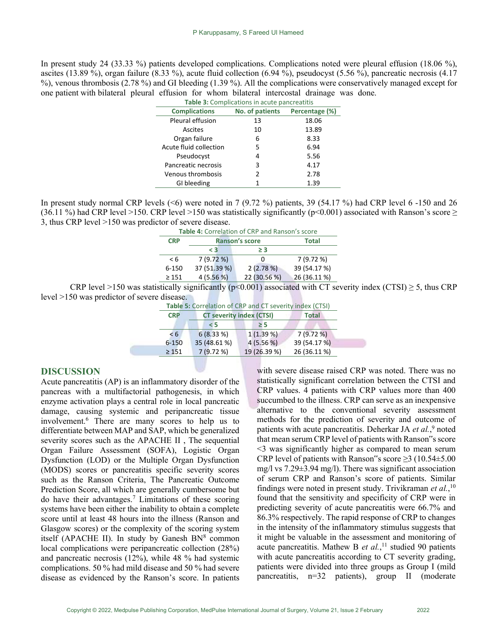In present study 24 (33.33 %) patients developed complications. Complications noted were pleural effusion (18.06 %), ascites (13.89 %), organ failure (8.33 %), acute fluid collection (6.94 %), pseudocyst (5.56 %), pancreatic necrosis (4.17 %), venous thrombosis (2.78 %) and GI bleeding (1.39 %). All the complications were conservatively managed except for one patient with bilateral pleural effusion for whom bilateral intercostal drainage was done.

| Table 3: Complications in acute pancreatitis |                 |                |  |  |
|----------------------------------------------|-----------------|----------------|--|--|
| <b>Complications</b>                         | No. of patients | Percentage (%) |  |  |
| Pleural effusion                             | 13              | 18.06          |  |  |
| Ascites                                      | 10              | 13.89          |  |  |
| Organ failure                                | 6               | 8.33           |  |  |
| Acute fluid collection                       | 5               | 6.94           |  |  |
| Pseudocyst                                   | 4               | 5.56           |  |  |
| Pancreatic necrosis                          | 3               | 4.17           |  |  |
| Venous thrombosis                            | 2               | 2.78           |  |  |
| GI bleeding                                  |                 | 1.39           |  |  |

In present study normal CRP levels  $( $6$ )$  were noted in 7 (9.72 %) patients, 39 (54.17 %) had CRP level 6 -150 and 26 (36.11 %) had CRP level >150. CRP level >150 was statistically significantly (p<0.001) associated with Ranson's score  $\geq$ 3, thus CRP level >150 was predictor of severe disease.

| Table 4: Correlation of CRP and Ranson's score |              |                |              |  |
|------------------------------------------------|--------------|----------------|--------------|--|
| <b>CRP</b>                                     |              | Ranson's score | <b>Total</b> |  |
|                                                | $\leq 3$     | ≥ 3            |              |  |
| < 6                                            | 7(9.72%)     | O              | 7 (9.72 %)   |  |
| 6-150                                          | 37 (51.39 %) | 2(2.78%)       | 39 (54.17 %) |  |
| $\geq 151$                                     | 4(5.56%)     | 22 (30.56 %)   | 26 (36.11 %) |  |

CRP level >150 was statistically significantly ( $p$ <0.001) associated with CT severity index (CTSI)  $\geq$  5, thus CRP level >150 was predictor of severe disease.

| Table 5: Correlation of CRP and CT severity index (CTSI) |                                             |                                      |                                         |  |  |
|----------------------------------------------------------|---------------------------------------------|--------------------------------------|-----------------------------------------|--|--|
|                                                          | <b>CT severity index (CTSI)</b>             |                                      | <b>Total</b>                            |  |  |
|                                                          | $\leq$ 5                                    | $\geq 5$                             |                                         |  |  |
|                                                          |                                             |                                      | 7 (9.72 %)                              |  |  |
|                                                          |                                             |                                      | 39 (54.17 %)                            |  |  |
|                                                          |                                             |                                      | 26 (36.11 %)                            |  |  |
|                                                          | <b>CRP</b><br>55<br>$6 - 150$<br>$\geq 151$ | 6(8.33%)<br>35 (48.61 %)<br>7(9.72%) | $1(1.39\%)$<br>4(5.56%)<br>19 (26.39 %) |  |  |

## DISCUSSION

Acute pancreatitis (AP) is an inflammatory disorder of the pancreas with a multifactorial pathogenesis, in which enzyme activation plays a central role in local pancreatic damage, causing systemic and peripancreatic tissue involvement.<sup>6</sup> There are many scores to help us to differentiate between MAP and SAP, which be generalized severity scores such as the APACHE II , The sequential Organ Failure Assessment (SOFA), Logistic Organ Dysfunction (LOD) or the Multiple Organ Dysfunction (MODS) scores or pancreatitis specific severity scores such as the Ranson Criteria, The Pancreatic Outcome Prediction Score, all which are generally cumbersome but do have their advantages.<sup>7</sup> Limitations of these scoring systems have been either the inability to obtain a complete score until at least 48 hours into the illness (Ranson and Glasgow scores) or the complexity of the scoring system itself (APACHE II). In study by Ganesh  $BN<sup>8</sup>$  common local complications were peripancreatic collection (28%) and pancreatic necrosis (12%), while 48 % had systemic complications. 50 % had mild disease and 50 % had severe disease as evidenced by the Ranson's score. In patients

with severe disease raised CRP was noted. There was no statistically significant correlation between the CTSI and CRP values. 4 patients with CRP values more than 400 succumbed to the illness. CRP can serve as an inexpensive alternative to the conventional severity assessment methods for the prediction of severity and outcome of patients with acute pancreatitis. Deherkar JA et al.,<sup>9</sup> noted that mean serum CRP level of patients with Ranson"s score <3 was significantly higher as compared to mean serum CRP level of patients with Ranson"s score  $\geq$ 3 (10.54 $\pm$ 5.00 mg/l vs 7.29±3.94 mg/l). There was significant association of serum CRP and Ranson's score of patients. Similar findings were noted in present study. Trivikraman et  $al$ ,  $l^0$ found that the sensitivity and specificity of CRP were in predicting severity of acute pancreatitis were 66.7% and 86.3% respectively. The rapid response of CRP to changes in the intensity of the inflammatory stimulus suggests that it might be valuable in the assessment and monitoring of acute pancreatitis. Mathew B et  $al$ ,<sup>11</sup> studied 90 patients with acute pancreatitis according to CT severity grading, patients were divided into three groups as Group I (mild pancreatitis, n=32 patients), group II (moderate